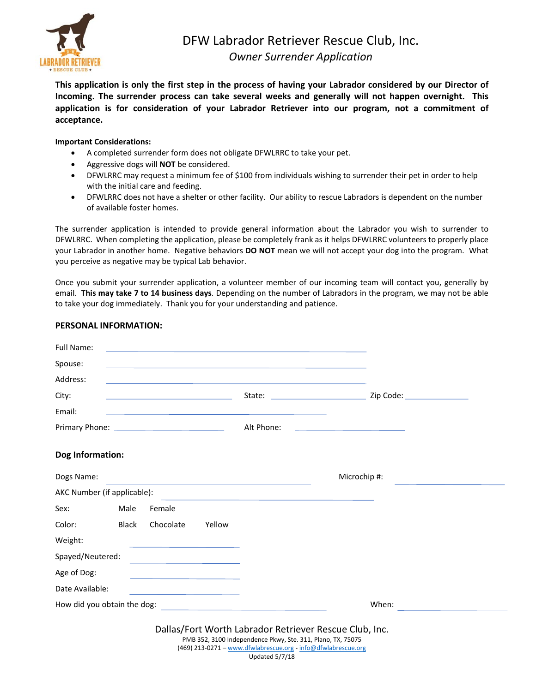

**This application is only the first step in the process of having your Labrador considered by our Director of Incoming. The surrender process can take several weeks and generally will not happen overnight. This application is for consideration of your Labrador Retriever into our program, not a commitment of acceptance.**

## **Important Considerations:**

- A completed surrender form does not obligate DFWLRRC to take your pet.
- Aggressive dogs will **NOT** be considered.
- DFWLRRC may request a minimum fee of \$100 from individuals wishing to surrender their pet in order to help with the initial care and feeding.
- DFWLRRC does not have a shelter or other facility. Our ability to rescue Labradors is dependent on the number of available foster homes.

The surrender application is intended to provide general information about the Labrador you wish to surrender to DFWLRRC. When completing the application, please be completely frank as it helps DFWLRRC volunteers to properly place your Labrador in another home. Negative behaviors **DO NOT** mean we will not accept your dog into the program. What you perceive as negative may be typical Lab behavior.

Once you submit your surrender application, a volunteer member of our incoming team will contact you, generally by email. **This may take 7 to 14 business days**. Depending on the number of Labradors in the program, we may not be able to take your dog immediately. Thank you for your understanding and patience.

## **PERSONAL INFORMATION:**

| Full Name:                                                                |              |                                                                                                                       |        | the control of the control of the control of the control of the control of the control of the control of the control of the control of the control of the control of the control of the control of the control of the control |                                                        |  |
|---------------------------------------------------------------------------|--------------|-----------------------------------------------------------------------------------------------------------------------|--------|-------------------------------------------------------------------------------------------------------------------------------------------------------------------------------------------------------------------------------|--------------------------------------------------------|--|
| Spouse:                                                                   |              |                                                                                                                       |        | the control of the control of the control of the control of the control of the control of the control of the control of the control of the control of the control of the control of the control of the control of the control |                                                        |  |
| Address:                                                                  |              |                                                                                                                       |        | and the control of the control of the control of the control of the control of the control of the control of the                                                                                                              |                                                        |  |
| City:                                                                     |              | <u> 1989 - Johann Harry Harry Harry Harry Harry Harry Harry Harry Harry Harry Harry Harry Harry Harry Harry Harry</u> |        |                                                                                                                                                                                                                               |                                                        |  |
| Email:                                                                    |              |                                                                                                                       |        | ,我们也不能在这里,我们的人们也不能在这里,我们也不能会在这里的人们,我们也不能会在这里的人们,我们也不能会在这里的人们,我们也不能会在这里的人们,我们也不能会                                                                                                                                              |                                                        |  |
|                                                                           |              |                                                                                                                       |        | Alt Phone:                                                                                                                                                                                                                    | <u> 1989 - John Stein, Amerikaansk politiker (</u>     |  |
| Dog Information:                                                          |              |                                                                                                                       |        |                                                                                                                                                                                                                               |                                                        |  |
| Dogs Name:                                                                |              |                                                                                                                       |        |                                                                                                                                                                                                                               | Microchip #:                                           |  |
| AKC Number (if applicable):                                               |              |                                                                                                                       |        |                                                                                                                                                                                                                               |                                                        |  |
| Sex:                                                                      | Male         | Female                                                                                                                |        |                                                                                                                                                                                                                               |                                                        |  |
| Color:                                                                    | <b>Black</b> | Chocolate                                                                                                             | Yellow |                                                                                                                                                                                                                               |                                                        |  |
| Weight:                                                                   |              | the control of the control of the control of the control of the control of                                            |        |                                                                                                                                                                                                                               |                                                        |  |
| Spayed/Neutered:<br><u> 1989 - Johann Stoff, fransk politik (d. 1989)</u> |              |                                                                                                                       |        |                                                                                                                                                                                                                               |                                                        |  |
| Age of Dog:                                                               |              | the contract of the contract of the contract of the contract of the contract of                                       |        |                                                                                                                                                                                                                               |                                                        |  |
| Date Available:                                                           |              | the control of the control of the control of the control of the control of                                            |        |                                                                                                                                                                                                                               |                                                        |  |
| How did you obtain the dog:                                               |              |                                                                                                                       |        |                                                                                                                                                                                                                               | When:                                                  |  |
|                                                                           |              |                                                                                                                       |        | PMB 352, 3100 Independence Pkwy, Ste. 311, Plano, TX, 75075                                                                                                                                                                   | Dallas/Fort Worth Labrador Retriever Rescue Club, Inc. |  |

(469) 213-0271 – www.dfwlabrescue.org - info@dfwlabrescue.org Updated 5/7/18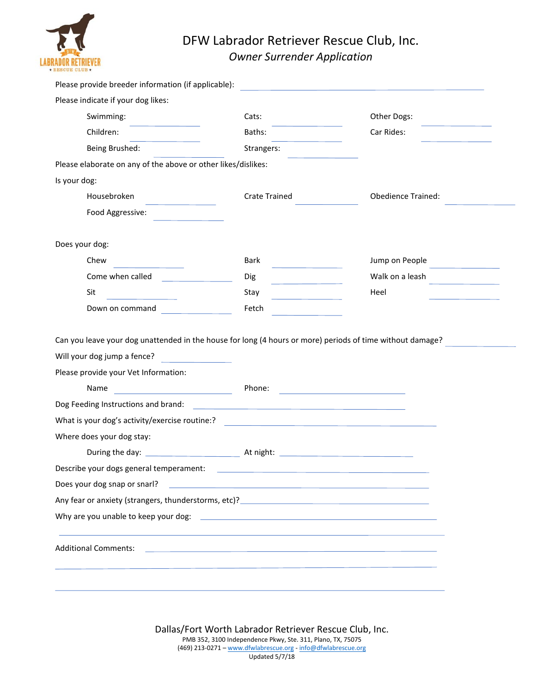

## DFW Labrador Retriever Rescue Club, Inc. *Owner Surrender Application*

| Please provide breeder information (if applicable):                                                                                                                                                                                                                                                                                                                                                                                                                   |                                                                                                                                |                                                  |  |  |  |  |  |  |
|-----------------------------------------------------------------------------------------------------------------------------------------------------------------------------------------------------------------------------------------------------------------------------------------------------------------------------------------------------------------------------------------------------------------------------------------------------------------------|--------------------------------------------------------------------------------------------------------------------------------|--------------------------------------------------|--|--|--|--|--|--|
| Please indicate if your dog likes:                                                                                                                                                                                                                                                                                                                                                                                                                                    |                                                                                                                                |                                                  |  |  |  |  |  |  |
| Swimming:                                                                                                                                                                                                                                                                                                                                                                                                                                                             | Cats:                                                                                                                          | Other Dogs:<br><b>Contract Contract Contract</b> |  |  |  |  |  |  |
| Children:                                                                                                                                                                                                                                                                                                                                                                                                                                                             | Baths:                                                                                                                         | Car Rides:                                       |  |  |  |  |  |  |
| Being Brushed:                                                                                                                                                                                                                                                                                                                                                                                                                                                        | Strangers:                                                                                                                     |                                                  |  |  |  |  |  |  |
| Please elaborate on any of the above or other likes/dislikes:                                                                                                                                                                                                                                                                                                                                                                                                         |                                                                                                                                |                                                  |  |  |  |  |  |  |
| Is your dog:                                                                                                                                                                                                                                                                                                                                                                                                                                                          |                                                                                                                                |                                                  |  |  |  |  |  |  |
| Housebroken<br>$\label{eq:2.1} \frac{1}{\sqrt{2}}\left(\frac{1}{\sqrt{2}}\right)^{2} \left(\frac{1}{\sqrt{2}}\right)^{2} \left(\frac{1}{\sqrt{2}}\right)^{2} \left(\frac{1}{\sqrt{2}}\right)^{2} \left(\frac{1}{\sqrt{2}}\right)^{2} \left(\frac{1}{\sqrt{2}}\right)^{2} \left(\frac{1}{\sqrt{2}}\right)^{2} \left(\frac{1}{\sqrt{2}}\right)^{2} \left(\frac{1}{\sqrt{2}}\right)^{2} \left(\frac{1}{\sqrt{2}}\right)^{2} \left(\frac{1}{\sqrt{2}}\right)^{2} \left(\$ | <b>Crate Trained</b>                                                                                                           | <b>Obedience Trained:</b>                        |  |  |  |  |  |  |
| Food Aggressive:                                                                                                                                                                                                                                                                                                                                                                                                                                                      |                                                                                                                                |                                                  |  |  |  |  |  |  |
| Does your dog:                                                                                                                                                                                                                                                                                                                                                                                                                                                        |                                                                                                                                |                                                  |  |  |  |  |  |  |
| Chew                                                                                                                                                                                                                                                                                                                                                                                                                                                                  | Bark                                                                                                                           | Jump on People                                   |  |  |  |  |  |  |
| Come when called                                                                                                                                                                                                                                                                                                                                                                                                                                                      | <b>Dig</b><br><u> 1999 - Jan Jawa</u>                                                                                          | Walk on a leash                                  |  |  |  |  |  |  |
| Sit                                                                                                                                                                                                                                                                                                                                                                                                                                                                   | Stay                                                                                                                           | Heel                                             |  |  |  |  |  |  |
| Down on command                                                                                                                                                                                                                                                                                                                                                                                                                                                       | Fetch                                                                                                                          |                                                  |  |  |  |  |  |  |
| Can you leave your dog unattended in the house for long (4 hours or more) periods of time without damage?                                                                                                                                                                                                                                                                                                                                                             |                                                                                                                                |                                                  |  |  |  |  |  |  |
| Will your dog jump a fence?                                                                                                                                                                                                                                                                                                                                                                                                                                           |                                                                                                                                |                                                  |  |  |  |  |  |  |
| Please provide your Vet Information:                                                                                                                                                                                                                                                                                                                                                                                                                                  |                                                                                                                                |                                                  |  |  |  |  |  |  |
| <u> 1999 - Johann Barn, mars et al. (</u><br>Name                                                                                                                                                                                                                                                                                                                                                                                                                     | Phone:<br><u> Alexandria de la contrada de la contrada de la contrada de la contrada de la contrada de la contrada de la c</u> |                                                  |  |  |  |  |  |  |
|                                                                                                                                                                                                                                                                                                                                                                                                                                                                       |                                                                                                                                |                                                  |  |  |  |  |  |  |
| What is your dog's activity/exercise routine:?                                                                                                                                                                                                                                                                                                                                                                                                                        |                                                                                                                                |                                                  |  |  |  |  |  |  |
| Where does your dog stay:                                                                                                                                                                                                                                                                                                                                                                                                                                             |                                                                                                                                |                                                  |  |  |  |  |  |  |
|                                                                                                                                                                                                                                                                                                                                                                                                                                                                       |                                                                                                                                |                                                  |  |  |  |  |  |  |
| Describe your dogs general temperament:                                                                                                                                                                                                                                                                                                                                                                                                                               |                                                                                                                                |                                                  |  |  |  |  |  |  |
| Does your dog snap or snarl?                                                                                                                                                                                                                                                                                                                                                                                                                                          | <u> 1989 - Andrea Stadt, fransk politik (d. 1989)</u>                                                                          |                                                  |  |  |  |  |  |  |
|                                                                                                                                                                                                                                                                                                                                                                                                                                                                       |                                                                                                                                |                                                  |  |  |  |  |  |  |
|                                                                                                                                                                                                                                                                                                                                                                                                                                                                       |                                                                                                                                |                                                  |  |  |  |  |  |  |
| <b>Additional Comments:</b>                                                                                                                                                                                                                                                                                                                                                                                                                                           | <u> 1989 - Andrea Stadt Britain, amerikansk politiker (d. 1989)</u>                                                            |                                                  |  |  |  |  |  |  |